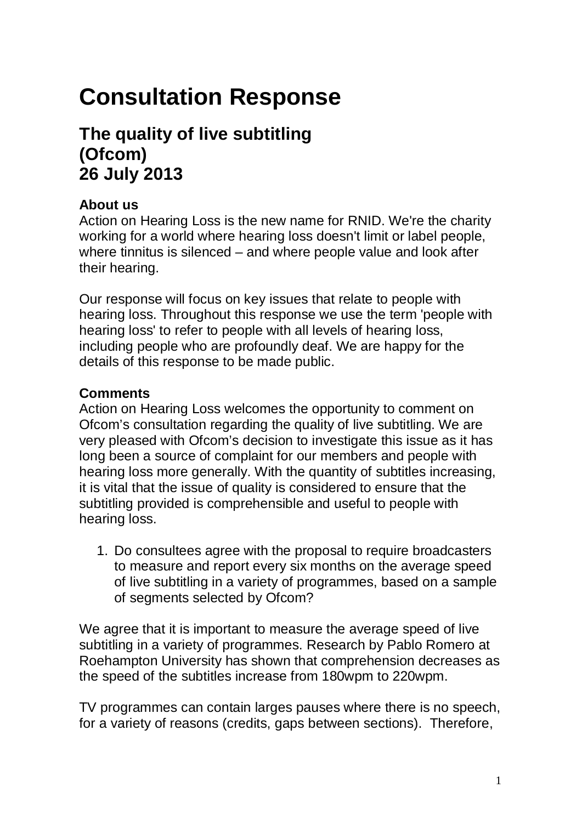# **Consultation Response**

## **The quality of live subtitling (Ofcom) 26 July 2013**

### **About us**

Action on Hearing Loss is the new name for RNID. We're the charity working for a world where hearing loss doesn't limit or label people, where tinnitus is silenced – and where people value and look after their hearing.

Our response will focus on key issues that relate to people with hearing loss. Throughout this response we use the term 'people with hearing loss' to refer to people with all levels of hearing loss, including people who are profoundly deaf. We are happy for the details of this response to be made public.

### **Comments**

Action on Hearing Loss welcomes the opportunity to comment on Ofcom's consultation regarding the quality of live subtitling. We are very pleased with Ofcom's decision to investigate this issue as it has long been a source of complaint for our members and people with hearing loss more generally. With the quantity of subtitles increasing, it is vital that the issue of quality is considered to ensure that the subtitling provided is comprehensible and useful to people with hearing loss.

1. Do consultees agree with the proposal to require broadcasters to measure and report every six months on the average speed of live subtitling in a variety of programmes, based on a sample of segments selected by Ofcom?

We agree that it is important to measure the average speed of live subtitling in a variety of programmes. Research by Pablo Romero at Roehampton University has shown that comprehension decreases as the speed of the subtitles increase from 180wpm to 220wpm.

TV programmes can contain larges pauses where there is no speech, for a variety of reasons (credits, gaps between sections). Therefore,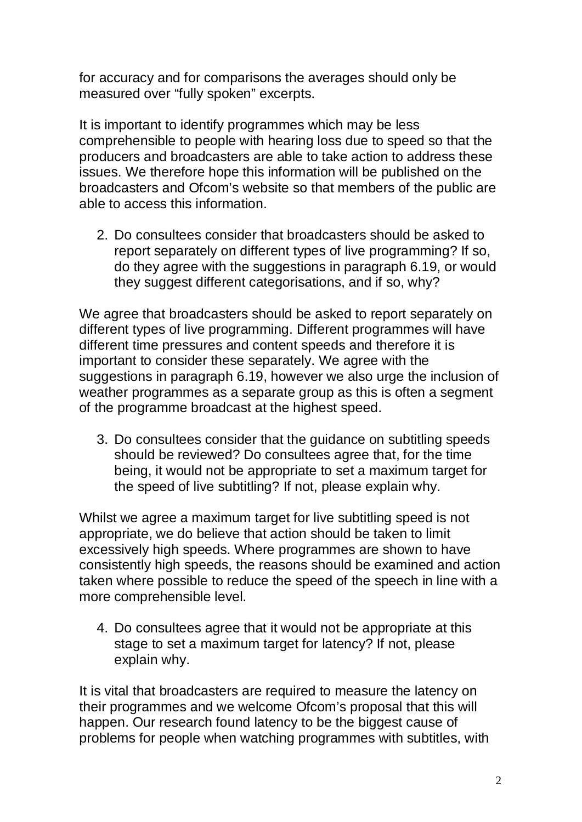for accuracy and for comparisons the averages should only be measured over "fully spoken" excerpts.

It is important to identify programmes which may be less comprehensible to people with hearing loss due to speed so that the producers and broadcasters are able to take action to address these issues. We therefore hope this information will be published on the broadcasters and Ofcom's website so that members of the public are able to access this information.

2. Do consultees consider that broadcasters should be asked to report separately on different types of live programming? If so, do they agree with the suggestions in paragraph 6.19, or would they suggest different categorisations, and if so, why?

We agree that broadcasters should be asked to report separately on different types of live programming. Different programmes will have different time pressures and content speeds and therefore it is important to consider these separately. We agree with the suggestions in paragraph 6.19, however we also urge the inclusion of weather programmes as a separate group as this is often a segment of the programme broadcast at the highest speed.

3. Do consultees consider that the guidance on subtitling speeds should be reviewed? Do consultees agree that, for the time being, it would not be appropriate to set a maximum target for the speed of live subtitling? If not, please explain why.

Whilst we agree a maximum target for live subtitling speed is not appropriate, we do believe that action should be taken to limit excessively high speeds. Where programmes are shown to have consistently high speeds, the reasons should be examined and action taken where possible to reduce the speed of the speech in line with a more comprehensible level.

4. Do consultees agree that it would not be appropriate at this stage to set a maximum target for latency? If not, please explain why.

It is vital that broadcasters are required to measure the latency on their programmes and we welcome Ofcom's proposal that this will happen. Our research found latency to be the biggest cause of problems for people when watching programmes with subtitles, with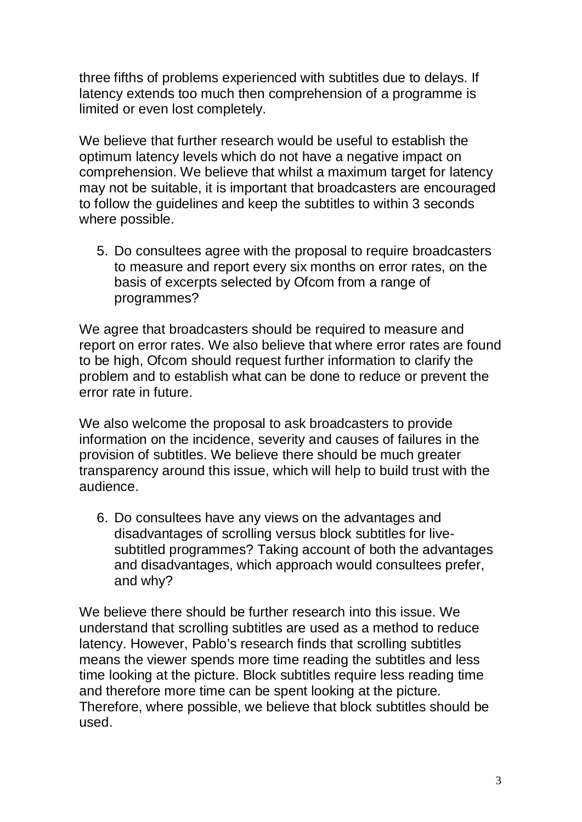three fifths of problems experienced with subtitles due to delays. If latency extends too much then comprehension of a programme is limited or even lost completely.

We believe that further research would be useful to establish the optimum latency levels which do not have a negative impact on comprehension. We believe that whilst a maximum target for latency may not be suitable, it is important that broadcasters are encouraged to follow the guidelines and keep the subtitles to within 3 seconds where possible.

5. Do consultees agree with the proposal to require broadcasters to measure and report every six months on error rates, on the basis of excerpts selected by Ofcom from a range of programmes?

We agree that broadcasters should be required to measure and report on error rates. We also believe that where error rates are found to be high, Ofcom should request further information to clarify the problem and to establish what can be done to reduce or prevent the error rate in future.

We also welcome the proposal to ask broadcasters to provide information on the incidence, severity and causes of failures in the provision of subtitles. We believe there should be much greater transparency around this issue, which will help to build trust with the audience.

6. Do consultees have any views on the advantages and disadvantages of scrolling versus block subtitles for livesubtitled programmes? Taking account of both the advantages and disadvantages, which approach would consultees prefer, and why?

We believe there should be further research into this issue. We understand that scrolling subtitles are used as a method to reduce latency. However, Pablo's research finds that scrolling subtitles means the viewer spends more time reading the subtitles and less time looking at the picture. Block subtitles require less reading time and therefore more time can be spent looking at the picture. Therefore, where possible, we believe that block subtitles should be used.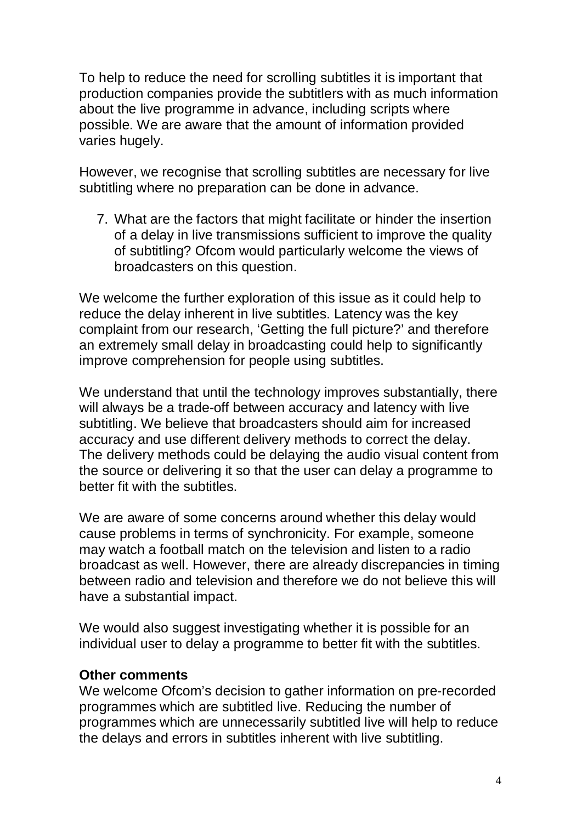To help to reduce the need for scrolling subtitles it is important that production companies provide the subtitlers with as much information about the live programme in advance, including scripts where possible. We are aware that the amount of information provided varies hugely.

However, we recognise that scrolling subtitles are necessary for live subtitling where no preparation can be done in advance.

7. What are the factors that might facilitate or hinder the insertion of a delay in live transmissions sufficient to improve the quality of subtitling? Ofcom would particularly welcome the views of broadcasters on this question.

We welcome the further exploration of this issue as it could help to reduce the delay inherent in live subtitles. Latency was the key complaint from our research, 'Getting the full picture?' and therefore an extremely small delay in broadcasting could help to significantly improve comprehension for people using subtitles.

We understand that until the technology improves substantially, there will always be a trade-off between accuracy and latency with live subtitling. We believe that broadcasters should aim for increased accuracy and use different delivery methods to correct the delay. The delivery methods could be delaying the audio visual content from the source or delivering it so that the user can delay a programme to better fit with the subtitles.

We are aware of some concerns around whether this delay would cause problems in terms of synchronicity. For example, someone may watch a football match on the television and listen to a radio broadcast as well. However, there are already discrepancies in timing between radio and television and therefore we do not believe this will have a substantial impact.

We would also suggest investigating whether it is possible for an individual user to delay a programme to better fit with the subtitles.

#### **Other comments**

We welcome Ofcom's decision to gather information on pre-recorded programmes which are subtitled live. Reducing the number of programmes which are unnecessarily subtitled live will help to reduce the delays and errors in subtitles inherent with live subtitling.